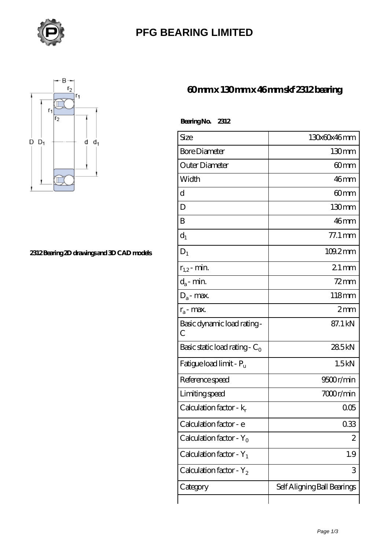

# **[PFG BEARING LIMITED](https://m.meatcuttersclub.org)**



#### **[2312 Bearing 2D drawings and 3D CAD models](https://m.meatcuttersclub.org/pic-456809.html)**

### **[60 mm x 130 mm x 46 mm skf 2312 bearing](https://m.meatcuttersclub.org/skf-bearing/skf-2312/)**

| Bearing No. 2312                    |                             |
|-------------------------------------|-----------------------------|
| Size                                | 130x60x46mm                 |
| <b>Bore Diameter</b>                | $130 \text{mm}$             |
| Outer Diameter                      | 60 <sub>mm</sub>            |
| Width                               | 46mm                        |
| d                                   | 60 <sub>mm</sub>            |
| D                                   | $130 \text{mm}$             |
| B                                   | 46mm                        |
| $d_1$                               | $77.1 \,\mathrm{mm}$        |
| $D_1$                               | $109.2$ mm                  |
| $r_{1,2}$ - min.                    | $21 \,\mathrm{mm}$          |
| $d_a$ - min.                        | $72 \text{mm}$              |
| $D_a$ - max.                        | 118mm                       |
| $r_a$ - max.                        | 2mm                         |
| Basic dynamic load rating -<br>С    | 87.1 kN                     |
| Basic static load rating - $C_0$    | 285kN                       |
| Fatigue load limit - P <sub>u</sub> | 1.5kN                       |
| Reference speed                     | 9500r/min                   |
| Limiting speed                      | 7000r/min                   |
| Calculation factor - k <sub>r</sub> | 005                         |
| Calculation factor - e              | 033                         |
| Calculation factor - $Y_0$          | 2                           |
| Calculation factor - $Y_1$          | 1.9                         |
| Calculation factor - $Y_2$          | 3                           |
| Category                            | Self Aligning Ball Bearings |
|                                     |                             |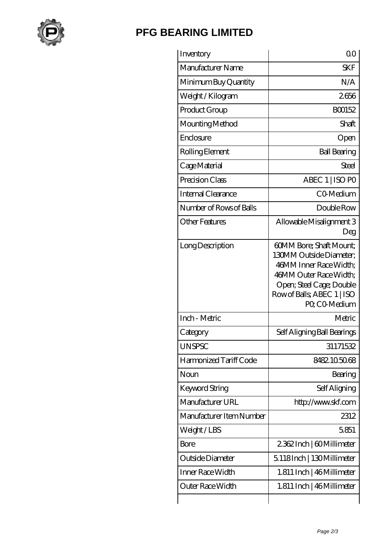

# **[PFG BEARING LIMITED](https://m.meatcuttersclub.org)**

| Inventory                | 0 <sup>0</sup>                                                                                                                                                                    |
|--------------------------|-----------------------------------------------------------------------------------------------------------------------------------------------------------------------------------|
| Manufacturer Name        | <b>SKF</b>                                                                                                                                                                        |
| Minimum Buy Quantity     | N/A                                                                                                                                                                               |
| Weight / Kilogram        | 2656                                                                                                                                                                              |
| Product Group            | BO0152                                                                                                                                                                            |
| Mounting Method          | Shaft                                                                                                                                                                             |
| Enclosure                | Open                                                                                                                                                                              |
| Rolling Element          | <b>Ball Bearing</b>                                                                                                                                                               |
| Cage Material            | Steel                                                                                                                                                                             |
| Precision Class          | ABEC 1   ISO PO                                                                                                                                                                   |
| Internal Clearance       | CO-Medium                                                                                                                                                                         |
| Number of Rows of Balls  | Double Row                                                                                                                                                                        |
| <b>Other Features</b>    | Allowable Misalignment 3<br>Deg                                                                                                                                                   |
| Long Description         | 60MM Bore; Shaft Mount;<br>130MM Outside Diameter:<br>46MM Inner Race Width;<br>46MM Outer Race Width;<br>Open; Steel Cage; Double<br>Row of Balls; ABEC 1   ISO<br>PO, CO-Medium |
| Inch - Metric            | Metric                                                                                                                                                                            |
| Category                 | Self Aligning Ball Bearings                                                                                                                                                       |
| <b>UNSPSC</b>            | 31171532                                                                                                                                                                          |
| Harmonized Tariff Code   | 8482105068                                                                                                                                                                        |
| Noun                     | Bearing                                                                                                                                                                           |
| Keyword String           | Self Aligning                                                                                                                                                                     |
| Manufacturer URL         | http://www.skf.com                                                                                                                                                                |
| Manufacturer Item Number | 2312                                                                                                                                                                              |
| Weight/LBS               | 5851                                                                                                                                                                              |
| Bore                     | 2362Inch   60Millimeter                                                                                                                                                           |
| Outside Diameter         | 5.118Inch   130Millimeter                                                                                                                                                         |
| Inner Race Width         | 1.811 Inch   46 Millimeter                                                                                                                                                        |
| Outer Race Width         | 1.811 Inch   46 Millimeter                                                                                                                                                        |
|                          |                                                                                                                                                                                   |